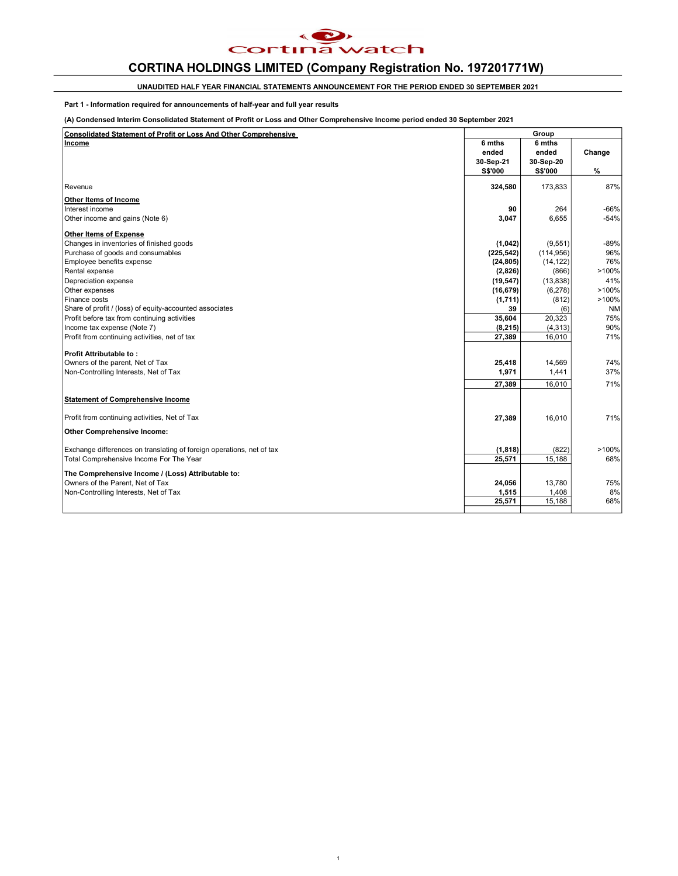

## UNAUDITED HALF YEAR FINANCIAL STATEMENTS ANNOUNCEMENT FOR THE PERIOD ENDED 30 SEPTEMBER 2021

Part 1 - Information required for announcements of half-year and full year results

(A) Condensed Interim Consolidated Statement of Profit or Loss and Other Comprehensive Income period ended 30 September 2021

| <b>Consolidated Statement of Profit or Loss And Other Comprehensive</b> | Group          |                |           |
|-------------------------------------------------------------------------|----------------|----------------|-----------|
| Income                                                                  | 6 mths         | 6 mths         |           |
|                                                                         | ended          | ended          | Change    |
|                                                                         | 30-Sep-21      | 30-Sep-20      |           |
|                                                                         | <b>S\$'000</b> | <b>S\$'000</b> | $\%$      |
| Revenue                                                                 | 324,580        | 173,833        | 87%       |
| Other Items of Income                                                   |                |                |           |
| Interest income                                                         | 90             | 264            | $-66%$    |
| Other income and gains (Note 6)                                         | 3,047          | 6,655          | $-54%$    |
| <b>Other Items of Expense</b>                                           |                |                |           |
| Changes in inventories of finished goods                                | (1,042)        | (9,551)        | $-89%$    |
| Purchase of goods and consumables                                       | (225, 542)     | (114, 956)     | 96%       |
| Employee benefits expense                                               | (24, 805)      | (14, 122)      | 76%       |
| Rental expense                                                          | (2,826)        | (866)          | >100%     |
| Depreciation expense                                                    | (19, 547)      | (13, 838)      | 41%       |
| Other expenses                                                          | (16, 679)      | (6, 278)       | >100%     |
| Finance costs                                                           | (1,711)        | (812)          | >100%     |
| Share of profit / (loss) of equity-accounted associates                 | 39             | (6)            | <b>NM</b> |
| Profit before tax from continuing activities                            | 35,604         | 20,323         | 75%       |
| Income tax expense (Note 7)                                             | (8, 215)       | (4, 313)       | 90%       |
| Profit from continuing activities, net of tax                           | 27,389         | 16,010         | 71%       |
| <b>Profit Attributable to:</b>                                          |                |                |           |
| Owners of the parent, Net of Tax                                        | 25,418         | 14,569         | 74%       |
| Non-Controlling Interests, Net of Tax                                   | 1,971          | 1,441          | 37%       |
|                                                                         | 27,389         | 16,010         | 71%       |
| <b>Statement of Comprehensive Income</b>                                |                |                |           |
| Profit from continuing activities, Net of Tax                           | 27,389         | 16,010         | 71%       |
| <b>Other Comprehensive Income:</b>                                      |                |                |           |
| Exchange differences on translating of foreign operations, net of tax   | (1, 818)       | (822)          | >100%     |
| Total Comprehensive Income For The Year                                 | 25,571         | 15,188         | 68%       |
| The Comprehensive Income / (Loss) Attributable to:                      |                |                |           |
| Owners of the Parent, Net of Tax                                        | 24,056         | 13,780         | 75%       |
| Non-Controlling Interests, Net of Tax                                   | 1,515          | 1,408          | 8%        |
|                                                                         | 25,571         | 15,188         | 68%       |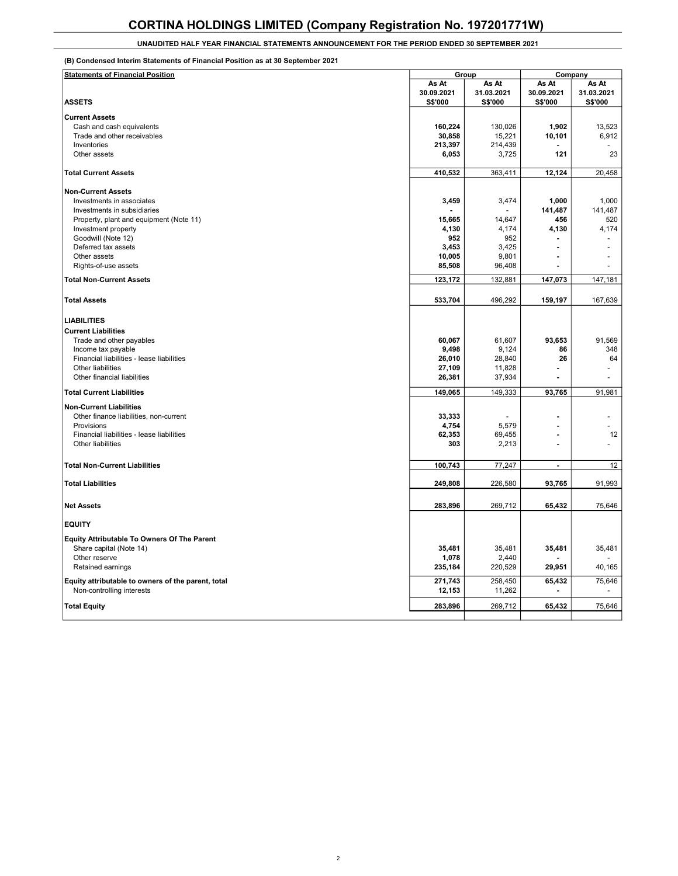### (B) Condensed Interim Statements of Financial Position as at 30 September 2021

| <b>Statements of Financial Position</b>            | Group      |            | Company    |                |
|----------------------------------------------------|------------|------------|------------|----------------|
|                                                    | As At      | As At      | As At      | As At          |
|                                                    | 30.09.2021 | 31.03.2021 | 30.09.2021 | 31.03.2021     |
| <b>ASSETS</b>                                      | S\$'000    | S\$'000    | S\$'000    | S\$'000        |
| <b>Current Assets</b>                              |            |            |            |                |
| Cash and cash equivalents                          | 160,224    | 130,026    | 1,902      | 13,523         |
| Trade and other receivables                        | 30,858     | 15,221     | 10,101     | 6,912          |
| Inventories                                        | 213,397    | 214,439    |            |                |
| Other assets                                       | 6,053      | 3,725      | 121        | 23             |
|                                                    |            |            |            |                |
| <b>Total Current Assets</b>                        | 410,532    | 363,411    | 12,124     | 20,458         |
|                                                    |            |            |            |                |
| <b>Non-Current Assets</b>                          |            |            |            |                |
| Investments in associates                          | 3,459      | 3,474      | 1,000      | 1,000          |
| Investments in subsidiaries                        |            |            | 141,487    | 141,487        |
| Property, plant and equipment (Note 11)            | 15,665     | 14,647     | 456        | 520            |
| Investment property                                | 4,130      | 4,174      | 4,130      | 4,174          |
| Goodwill (Note 12)                                 | 952        | 952        |            |                |
| Deferred tax assets                                | 3,453      | 3,425      |            | $\overline{a}$ |
| Other assets                                       | 10,005     | 9,801      |            |                |
| Rights-of-use assets                               | 85,508     | 96,408     |            |                |
| <b>Total Non-Current Assets</b>                    | 123,172    | 132,881    | 147,073    | 147,181        |
|                                                    |            |            |            |                |
|                                                    |            |            |            |                |
| <b>Total Assets</b>                                | 533,704    | 496,292    | 159,197    | 167,639        |
|                                                    |            |            |            |                |
| <b>LIABILITIES</b>                                 |            |            |            |                |
| <b>Current Liabilities</b>                         |            |            |            |                |
| Trade and other payables                           | 60,067     | 61,607     | 93,653     | 91,569         |
| Income tax payable                                 | 9,498      | 9,124      | 86         | 348            |
| Financial liabilities - lease liabilities          | 26,010     | 28,840     | 26         | 64             |
| Other liabilities                                  | 27,109     | 11,828     | ä,         |                |
| Other financial liabilities                        | 26,381     | 37,934     |            |                |
| <b>Total Current Liabilities</b>                   | 149,065    | 149,333    | 93,765     | 91,981         |
| <b>Non-Current Liabilities</b>                     |            |            |            |                |
| Other finance liabilities, non-current             | 33,333     |            |            |                |
| Provisions                                         | 4,754      | 5,579      | ٠          |                |
| Financial liabilities - lease liabilities          | 62,353     | 69,455     |            | 12             |
| Other liabilities                                  | 303        | 2,213      |            |                |
|                                                    |            |            |            |                |
| <b>Total Non-Current Liabilities</b>               | 100,743    | 77,247     | L.         | 12             |
|                                                    |            |            |            |                |
| <b>Total Liabilities</b>                           | 249,808    | 226,580    | 93,765     | 91,993         |
|                                                    |            |            |            |                |
| <b>Net Assets</b>                                  | 283,896    | 269,712    | 65,432     | 75,646         |
|                                                    |            |            |            |                |
| <b>EQUITY</b>                                      |            |            |            |                |
| <b>Equity Attributable To Owners Of The Parent</b> |            |            |            |                |
| Share capital (Note 14)                            | 35,481     | 35,481     | 35,481     | 35,481         |
| Other reserve                                      | 1,078      | 2,440      |            |                |
| Retained earnings                                  | 235,184    | 220,529    | 29,951     | 40,165         |
|                                                    |            |            |            |                |
| Equity attributable to owners of the parent, total | 271,743    | 258,450    | 65,432     | 75,646         |
| Non-controlling interests                          | 12,153     | 11,262     |            |                |
| <b>Total Equity</b>                                | 283,896    | 269,712    | 65,432     | 75,646         |
|                                                    |            |            |            |                |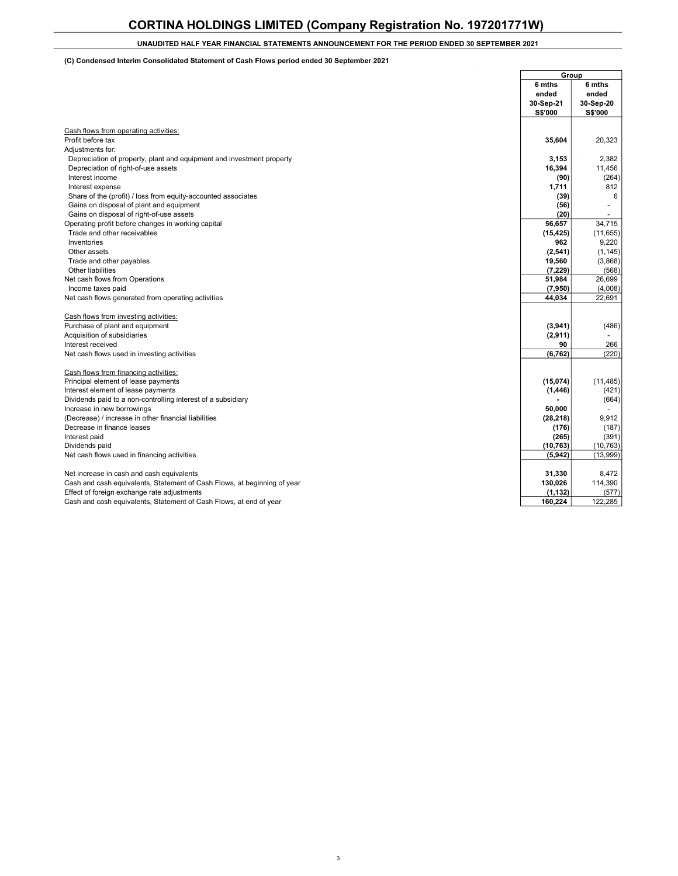### UNAUDITED HALF YEAR FINANCIAL STATEMENTS ANNOUNCEMENT FOR THE PERIOD ENDED 30 SEPTEMBER 2021

 $\mathbf{r}$ 

### (C) Condensed Interim Consolidated Statement of Cash Flows period ended 30 September 2021

|                                                                              | Group     |           |
|------------------------------------------------------------------------------|-----------|-----------|
|                                                                              | 6 mths    | 6 mths    |
|                                                                              | ended     | ended     |
|                                                                              | 30-Sep-21 | 30-Sep-20 |
|                                                                              | S\$'000   | S\$'000   |
|                                                                              |           |           |
| Cash flows from operating activities:<br>Profit before tax                   |           |           |
|                                                                              | 35,604    | 20,323    |
| Adjustments for:                                                             |           |           |
| Depreciation of property, plant and equipment and investment property        | 3,153     | 2,382     |
| Depreciation of right-of-use assets                                          | 16,394    | 11,456    |
| Interest income                                                              | (90)      | (264)     |
| Interest expense                                                             | 1,711     | 812       |
| Share of the (profit) / loss from equity-accounted associates                | (39)      | 6         |
| Gains on disposal of plant and equipment                                     | (56)      |           |
| Gains on disposal of right-of-use assets                                     | (20)      |           |
| Operating profit before changes in working capital                           | 56,657    | 34,715    |
| Trade and other receivables                                                  | (15, 425) | (11, 655) |
| Inventories                                                                  | 962       | 9,220     |
| Other assets                                                                 | (2,541)   | (1, 145)  |
| Trade and other payables                                                     | 19,560    | (3,868)   |
| Other liabilities                                                            | (7, 229)  | (568)     |
| Net cash flows from Operations                                               | 51,984    | 26,699    |
| Income taxes paid                                                            | (7,950)   | (4,008)   |
| Net cash flows generated from operating activities                           | 44,034    | 22,691    |
| Cash flows from investing activities:                                        |           |           |
| Purchase of plant and equipment                                              | (3,941)   | (486)     |
| Acquisition of subsidiaries                                                  | (2,911)   |           |
| Interest received                                                            | 90        | 266       |
| Net cash flows used in investing activities                                  | (6, 762)  | (220)     |
|                                                                              |           |           |
| Cash flows from financing activities:<br>Principal element of lease payments | (15,074)  | (11, 485) |
| Interest element of lease payments                                           | (1, 446)  | (421)     |
| Dividends paid to a non-controlling interest of a subsidiary                 |           | (664)     |
| Increase in new borrowings                                                   | 50,000    |           |
| (Decrease) / increase in other financial liabilities                         | (28, 218) | 9,912     |
| Decrease in finance leases                                                   | (176)     | (187)     |
| Interest paid                                                                | (265)     | (391)     |
|                                                                              |           |           |
| Dividends paid                                                               | (10, 763) | (10, 763) |
| Net cash flows used in financing activities                                  | (5,942)   | (13,999)  |
| Net increase in cash and cash equivalents                                    | 31,330    | 8,472     |
| Cash and cash equivalents, Statement of Cash Flows, at beginning of year     | 130,026   | 114,390   |
| Effect of foreign exchange rate adjustments                                  | (1, 132)  | (577)     |
| Cash and cash equivalents, Statement of Cash Flows, at end of year           | 160,224   | 122,285   |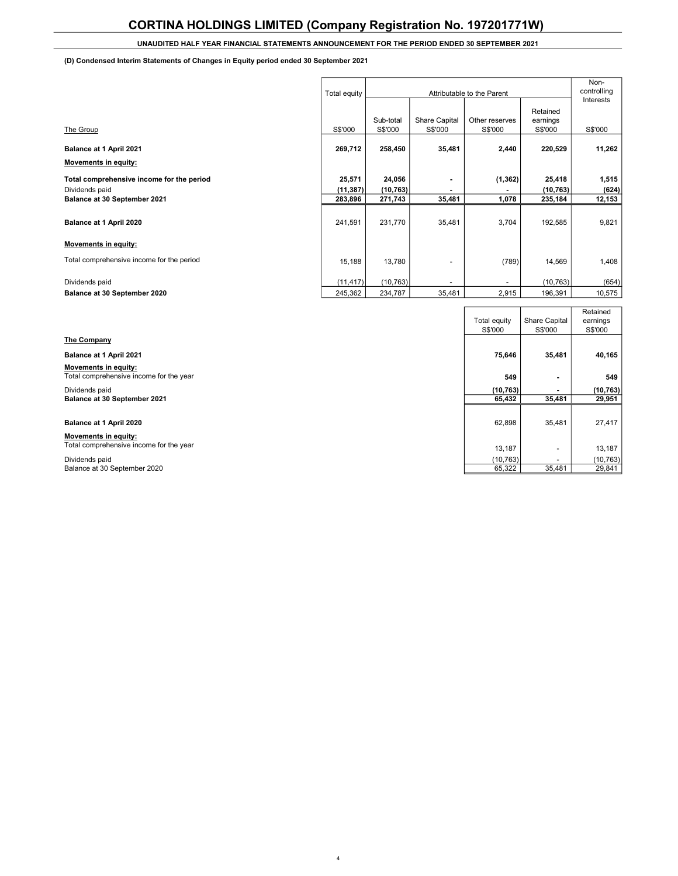### (D) Condensed Interim Statements of Changes in Equity period ended 30 September 2021

|                                                             | Total equity        | Attributable to the Parent |                          |                           |                                 |                      | Non-<br>controlling |
|-------------------------------------------------------------|---------------------|----------------------------|--------------------------|---------------------------|---------------------------------|----------------------|---------------------|
| The Group                                                   | S\$'000             | Sub-total<br>S\$'000       | Share Capital<br>S\$'000 | Other reserves<br>S\$'000 | Retained<br>earnings<br>S\$'000 | Interests<br>S\$'000 |                     |
| Balance at 1 April 2021<br>Movements in equity:             | 269,712             | 258,450                    | 35,481                   | 2,440                     | 220,529                         | 11,262               |                     |
| Total comprehensive income for the period<br>Dividends paid | 25,571<br>(11, 387) | 24,056<br>(10, 763)        |                          | (1, 362)                  | 25,418<br>(10, 763)             | 1,515<br>(624)       |                     |
| Balance at 30 September 2021                                | 283,896             | 271,743                    | 35,481                   | 1,078                     | 235,184                         | 12,153               |                     |
| Balance at 1 April 2020                                     | 241,591             | 231,770                    | 35,481                   | 3,704                     | 192,585                         | 9,821                |                     |
| Movements in equity:                                        |                     |                            |                          |                           |                                 |                      |                     |
| Total comprehensive income for the period                   | 15,188              | 13,780                     |                          | (789)                     | 14,569                          | 1,408                |                     |
| Dividends paid                                              | (11, 417)           | (10, 763)                  |                          |                           | (10, 763)                       | (654)                |                     |
| Balance at 30 September 2020                                | 245,362             | 234,787                    | 35,481                   | 2,915                     | 196,391                         | 10,575               |                     |

|                                         |              |                          | Retained  |
|-----------------------------------------|--------------|--------------------------|-----------|
|                                         | Total equity | Share Capital            | earnings  |
|                                         | S\$'000      | S\$'000                  | S\$'000   |
| The Company                             |              |                          |           |
| Balance at 1 April 2021                 | 75,646       | 35,481                   | 40,165    |
| Movements in equity:                    |              |                          |           |
| Total comprehensive income for the year | 549          | ۰                        | 549       |
| Dividends paid                          | (10, 763)    | ٠                        | (10, 763) |
| Balance at 30 September 2021            | 65,432       | 35,481                   | 29,951    |
|                                         |              |                          |           |
| Balance at 1 April 2020                 | 62,898       | 35,481                   | 27,417    |
| Movements in equity:                    |              |                          |           |
| Total comprehensive income for the year | 13,187       | $\overline{\phantom{a}}$ | 13,187    |
| Dividends paid                          | (10, 763)    |                          | (10, 763) |
| Balance at 30 September 2020            | 65,322       | 35,481                   | 29,841    |
|                                         |              |                          |           |

 $\Gamma$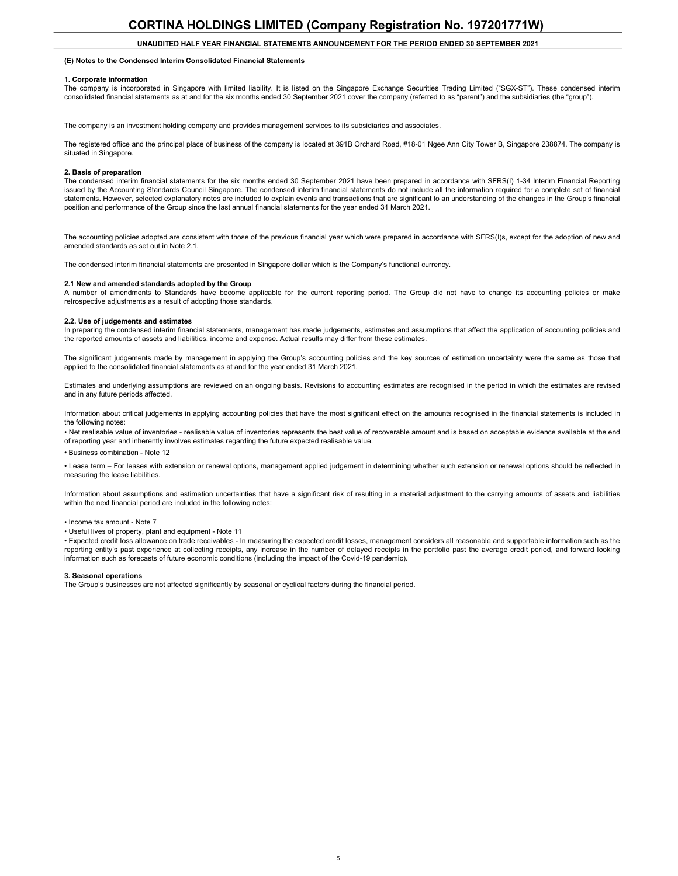#### (E) Notes to the Condensed Interim Consolidated Financial Statements

#### 1. Corporate information

The company is incorporated in Singapore with limited liability. It is listed on the Singapore Exchange Securities Trading Limited ("SGX-ST"). These condensed interim consolidated financial statements as at and for the six months ended 30 September 2021 cover the company (referred to as "parent") and the subsidiaries (the "group").

The company is an investment holding company and provides management services to its subsidiaries and associates.

The registered office and the principal place of business of the company is located at 391B Orchard Road, #18-01 Ngee Ann City Tower B, Singapore 238874. The company is situated in Singapore.

#### 2. Basis of preparation

The condensed interim financial statements for the six months ended 30 September 2021 have been prepared in accordance with SFRS(I) 1-34 Interim Financial Reporting issued by the Accounting Standards Council Singapore. The condensed interim financial statements do not include all the information required for a complete set of financial statements. However, selected explanatory notes are included to explain events and transactions that are significant to an understanding of the changes in the Group's financial position and performance of the Group since the last annual financial statements for the year ended 31 March 2021.

The accounting policies adopted are consistent with those of the previous financial year which were prepared in accordance with SFRS(I)s, except for the adoption of new and amended standards as set out in Note 2.1.

The condensed interim financial statements are presented in Singapore dollar which is the Company's functional currency.

#### 2.1 New and amended standards adopted by the Group

A number of amendments to Standards have become applicable for the current reporting period. The Group did not have to change its accounting policies or make retrospective adjustments as a result of adopting those standards.

#### 2.2. Use of judgements and estimates

In preparing the condensed interim financial statements, management has made judgements, estimates and assumptions that affect the application of accounting policies and the reported amounts of assets and liabilities, income and expense. Actual results may differ from these estimates.

The significant judgements made by management in applying the Group's accounting policies and the key sources of estimation uncertainty were the same as those that applied to the consolidated financial statements as at and for the year ended 31 March 2021.

Estimates and underlying assumptions are reviewed on an ongoing basis. Revisions to accounting estimates are recognised in the period in which the estimates are revised and in any future periods affected.

Information about critical judgements in applying accounting policies that have the most significant effect on the amounts recognised in the financial statements is included in the following notes:

• Net realisable value of inventories - realisable value of inventories represents the best value of recoverable amount and is based on acceptable evidence available at the end of reporting year and inherently involves estimates regarding the future expected realisable value.

• Business combination - Note 12

• Lease term – For leases with extension or renewal options, management applied judgement in determining whether such extension or renewal options should be reflected in measuring the lease liabilities.

Information about assumptions and estimation uncertainties that have a significant risk of resulting in a material adjustment to the carrying amounts of assets and liabilities within the next financial period are included in the following notes:

#### • Income tax amount - Note 7

• Useful lives of property, plant and equipment - Note 11

• Expected credit loss allowance on trade receivables - In measuring the expected credit losses, management considers all reasonable and supportable information such as the reporting entity's past experience at collecting receipts, any increase in the number of delayed receipts in the portfolio past the average credit period, and forward looking information such as forecasts of future economic conditions (including the impact of the Covid-19 pandemic).

#### 3. Seasonal operations

The Group's businesses are not affected significantly by seasonal or cyclical factors during the financial period.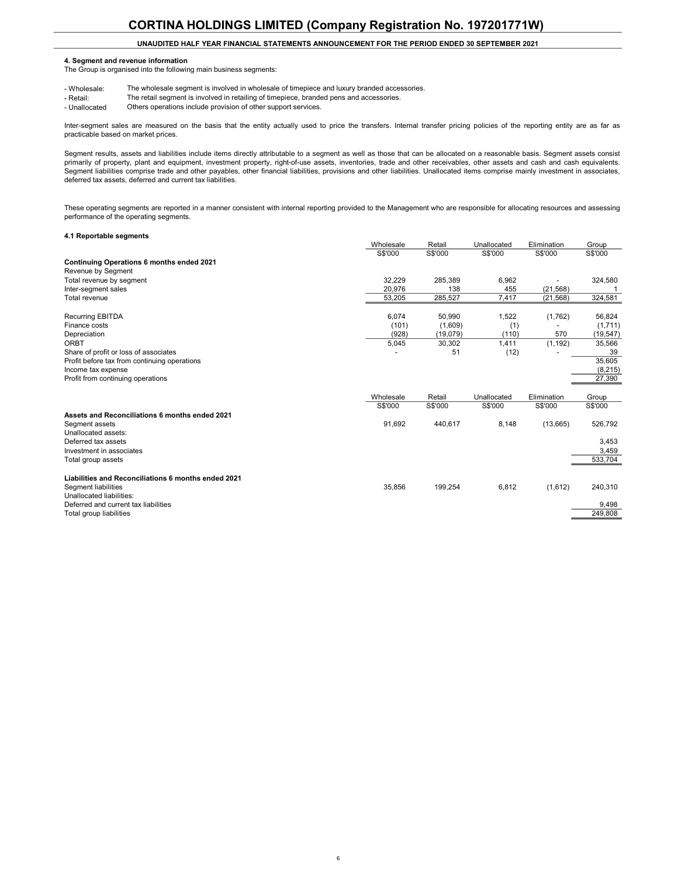### UNAUDITED HALF YEAR FINANCIAL STATEMENTS ANNOUNCEMENT FOR THE PERIOD ENDED 30 SEPTEMBER 2021

#### 4. Segment and revenue information

The Group is organised into the following main business segments:

- 
- Wholesale: The wholesale segment is involved in wholesale of timepiece and luxury branded accessories.<br>- Retail: The retail segment is involved in retailing of timepiece branded pens and accessories The retail segment is involved in retailing of timepiece, branded pens and accessories.
- Unallocated Others operations include provision of other support services.

Inter-segment sales are measured on the basis that the entity actually used to price the transfers. Internal transfer pricing policies of the reporting entity are as far as practicable based on market prices.

Segment results, assets and liabilities include items directly attributable to a segment as well as those that can be allocated on a reasonable basis. Segment assets consist primarily of property, plant and equipment, investment property, right-of-use assets, inventories, trade and other receivables, other assets and cash and cash equivalents.<br>Segment liabilities comprise trade and other payab deferred tax assets, deferred and current tax liabilities.

These operating segments are reported in a manner consistent with internal reporting provided to the Management who are responsible for allocating resources and assessing performance of the operating segments.

| 4.1 Reportable segments                             |           |          |             |             |           |
|-----------------------------------------------------|-----------|----------|-------------|-------------|-----------|
|                                                     | Wholesale | Retail   | Unallocated | Elimination | Group     |
|                                                     | S\$'000   | S\$'000  | S\$'000     | S\$'000     | S\$'000   |
| Continuing Operations 6 months ended 2021           |           |          |             |             |           |
| Revenue by Segment                                  |           |          |             |             |           |
| Total revenue by segment                            | 32,229    | 285,389  | 6,962       |             | 324,580   |
| Inter-segment sales                                 | 20,976    | 138      | 455         | (21, 568)   |           |
| Total revenue                                       | 53,205    | 285,527  | 7,417       | (21, 568)   | 324,581   |
| <b>Recurring EBITDA</b>                             | 6,074     | 50,990   | 1,522       | (1,762)     | 56,824    |
| Finance costs                                       | (101)     | (1,609)  | (1)         |             | (1,711)   |
| Depreciation                                        | (928)     | (19,079) | (110)       | 570         | (19, 547) |
| <b>ORBT</b>                                         | 5,045     | 30,302   | 1,411       | (1, 192)    | 35,566    |
| Share of profit or loss of associates               |           | 51       | (12)        |             | 39        |
| Profit before tax from continuing operations        |           |          |             |             | 35,605    |
| Income tax expense                                  |           |          |             |             | (8, 215)  |
| Profit from continuing operations                   |           |          |             |             | 27,390    |
|                                                     |           |          |             |             |           |
|                                                     | Wholesale | Retail   | Unallocated | Elimination | Group     |
|                                                     | S\$'000   | S\$'000  | S\$'000     | S\$'000     | S\$'000   |
| Assets and Reconciliations 6 months ended 2021      |           |          |             |             |           |
| Segment assets                                      | 91.692    | 440.617  | 8,148       | (13,665)    | 526,792   |
| Unallocated assets:                                 |           |          |             |             |           |
| Deferred tax assets                                 |           |          |             |             | 3,453     |
| Investment in associates                            |           |          |             |             | 3,459     |
| Total group assets                                  |           |          |             |             | 533,704   |
|                                                     |           |          |             |             |           |
| Liabilities and Reconciliations 6 months ended 2021 |           |          |             |             |           |
| Segment liabilities                                 | 35,856    | 199,254  | 6,812       | (1,612)     | 240,310   |
| Unallocated liabilities:                            |           |          |             |             |           |
| Deferred and current tax liabilities                |           |          |             |             | 9,498     |
| Total group liabilities                             |           |          |             |             | 249,808   |
|                                                     |           |          |             |             |           |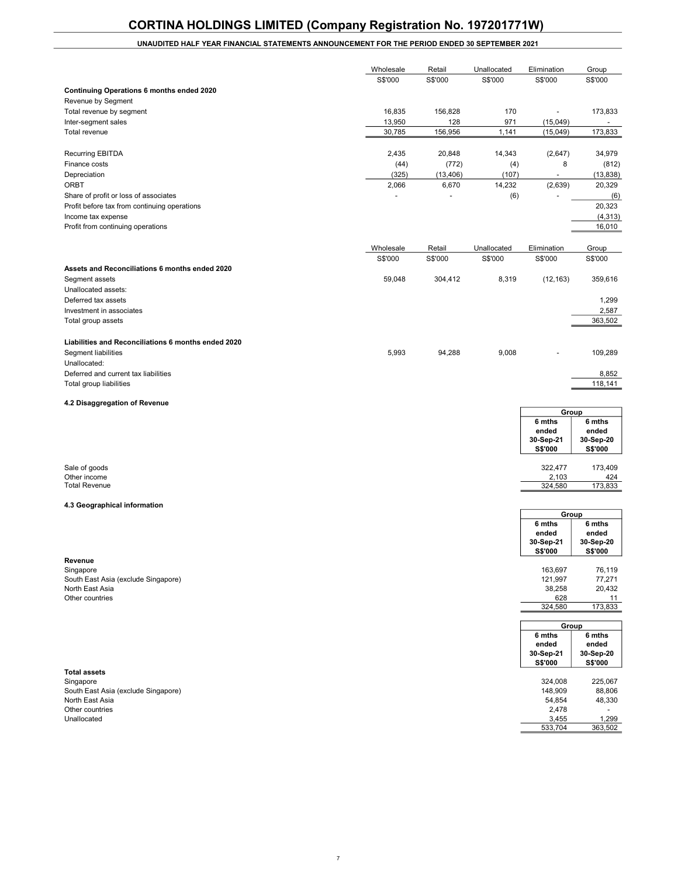## UNAUDITED HALF YEAR FINANCIAL STATEMENTS ANNOUNCEMENT FOR THE PERIOD ENDED 30 SEPTEMBER 2021

|                                                     | Wholesale            | Retail             | Unallocated            | Elimination               | Group                       |
|-----------------------------------------------------|----------------------|--------------------|------------------------|---------------------------|-----------------------------|
|                                                     | S\$'000              | S\$'000            | S\$'000                | S\$'000                   | S\$'000                     |
| Continuing Operations 6 months ended 2020           |                      |                    |                        |                           |                             |
| Revenue by Segment<br>Total revenue by segment      | 16,835               | 156,828            | 170                    | $\overline{\phantom{m}}$  | 173,833                     |
| Inter-segment sales                                 | 13,950               | 128                | 971                    | (15, 049)                 |                             |
| Total revenue                                       | 30,785               | 156,956            | 1,141                  | (15, 049)                 | 173,833                     |
|                                                     |                      |                    |                        |                           |                             |
| <b>Recurring EBITDA</b>                             | 2,435                | 20,848             | 14,343                 | (2,647)                   | 34,979                      |
| Finance costs                                       | (44)                 | (772)              | (4)                    | 8                         | (812)                       |
| Depreciation<br><b>ORBT</b>                         | (325)<br>2,066       | (13, 406)<br>6,670 | (107)<br>14,232        | $\blacksquare$<br>(2,639) | (13, 838)<br>20,329         |
| Share of profit or loss of associates               |                      |                    | (6)                    |                           | (6)                         |
| Profit before tax from continuing operations        |                      |                    |                        |                           | 20,323                      |
| Income tax expense                                  |                      |                    |                        |                           | (4, 313)                    |
| Profit from continuing operations                   |                      |                    |                        |                           | 16,010                      |
|                                                     |                      |                    |                        |                           |                             |
|                                                     | Wholesale<br>S\$'000 | Retail<br>S\$'000  | Unallocated<br>S\$'000 | Elimination<br>S\$'000    | Group<br>S\$'000            |
| Assets and Reconciliations 6 months ended 2020      |                      |                    |                        |                           |                             |
| Segment assets                                      | 59,048               | 304,412            | 8,319                  | (12, 163)                 | 359,616                     |
| Unallocated assets:                                 |                      |                    |                        |                           |                             |
| Deferred tax assets                                 |                      |                    |                        |                           | 1,299                       |
| Investment in associates                            |                      |                    |                        |                           | 2,587                       |
| Total group assets                                  |                      |                    |                        |                           | 363,502                     |
| Liabilities and Reconciliations 6 months ended 2020 |                      |                    |                        |                           |                             |
| Segment liabilities                                 | 5,993                | 94,288             | 9,008                  |                           | 109,289                     |
| Unallocated:                                        |                      |                    |                        |                           |                             |
| Deferred and current tax liabilities                |                      |                    |                        |                           | 8,852                       |
| Total group liabilities                             |                      |                    |                        |                           | 118,141                     |
|                                                     |                      |                    |                        |                           |                             |
| 4.2 Disaggregation of Revenue                       |                      |                    |                        | Group                     |                             |
|                                                     |                      |                    |                        | 6 mths                    | 6 mths                      |
|                                                     |                      |                    |                        | ended                     | ended                       |
|                                                     |                      |                    |                        | 30-Sep-21<br>S\$'000      | 30-Sep-20<br><b>S\$'000</b> |
|                                                     |                      |                    |                        |                           |                             |
| Sale of goods                                       |                      |                    |                        | 322,477                   | 173,409                     |
| Other income<br><b>Total Revenue</b>                |                      |                    |                        | 2,103<br>324,580          | 424<br>173,833              |
|                                                     |                      |                    |                        |                           |                             |
| 4.3 Geographical information                        |                      |                    |                        |                           |                             |
|                                                     |                      |                    |                        | Group<br>6 mths           | 6 mths                      |
|                                                     |                      |                    |                        | ended                     | ended                       |
|                                                     |                      |                    |                        | 30-Sep-21                 | 30-Sep-20                   |
| Revenue                                             |                      |                    |                        | S\$'000                   | <b>S\$'000</b>              |
| Singapore                                           |                      |                    |                        | 163,697                   | 76,119                      |
| South East Asia (exclude Singapore)                 |                      |                    |                        | 121,997                   | 77,271                      |
| North East Asia<br>Other countries                  |                      |                    |                        | 38,258<br>628             | 20,432<br>11                |
|                                                     |                      |                    |                        | 324,580                   | 173,833                     |
|                                                     |                      |                    |                        |                           |                             |
|                                                     |                      |                    |                        | Group<br>6 mths           | 6 mths                      |
|                                                     |                      |                    |                        | ended                     | ended                       |
|                                                     |                      |                    |                        | 30-Sep-21                 | 30-Sep-20                   |
| <b>Total assets</b>                                 |                      |                    |                        | S\$'000                   | S\$'000                     |
| Singapore                                           |                      |                    |                        | 324,008                   | 225,067                     |
| South East Asia (exclude Singapore)                 |                      |                    |                        | 148,909                   | 88,806                      |
| North East Asia<br>Other countries                  |                      |                    |                        | 54,854                    | 48,330                      |
| Unallocated                                         |                      |                    |                        | 2,478<br>3,455            | 1,299                       |
|                                                     |                      |                    |                        | 533,704                   | 363,502                     |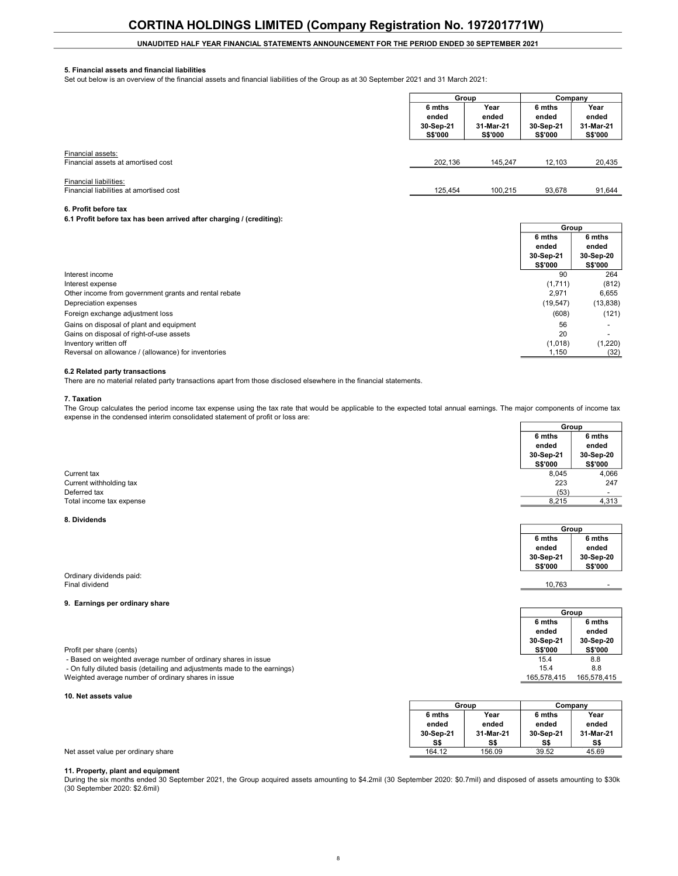#### 5. Financial assets and financial liabilities

Set out below is an overview of the financial assets and financial liabilities of the Group as at 30 September 2021 and 31 March 2021:

|                                                                                              | Group                                          |                                       | Company                                        |                                              |
|----------------------------------------------------------------------------------------------|------------------------------------------------|---------------------------------------|------------------------------------------------|----------------------------------------------|
|                                                                                              | 6 mths<br>ended<br>30-Sep-21<br><b>S\$'000</b> | Year<br>ended<br>31-Mar-21<br>S\$'000 | 6 mths<br>ended<br>30-Sep-21<br><b>S\$'000</b> | Year<br>ended<br>31-Mar-21<br><b>S\$'000</b> |
| Financial assets:<br>Financial assets at amortised cost                                      | 202,136                                        | 145,247                               | 12,103                                         | 20,435                                       |
| Financial liabilities:<br>Financial liabilities at amortised cost                            | 125,454                                        | 100,215                               | 93,678                                         | 91,644                                       |
| 6. Profit before tax<br>6.1 Profit before tax has been arrived after charging / (crediting): |                                                |                                       |                                                |                                              |
|                                                                                              |                                                |                                       | Group                                          |                                              |
|                                                                                              |                                                |                                       | 6 mths<br>ended<br>30-Sep-21                   | 6 mths<br>ended<br>30-Sep-20                 |
|                                                                                              |                                                |                                       | <b>S\$'000</b>                                 | <b>S\$'000</b>                               |
| Interest income                                                                              |                                                |                                       | 90                                             | 264                                          |
| Interest expense<br>Other income from government grants and rental rebate                    |                                                |                                       | (1,711)<br>2,971                               | (812)<br>6,655                               |

| Depreciation expenses                               | (19.547) | (13, 838)                |
|-----------------------------------------------------|----------|--------------------------|
| Foreign exchange adjustment loss                    | (608)    | (121)                    |
| Gains on disposal of plant and equipment            | 56       |                          |
| Gains on disposal of right-of-use assets            | 20       | $\overline{\phantom{a}}$ |
| Inventory written off                               | (1.018)  | (1,220)                  |
| Reversal on allowance / (allowance) for inventories | 1.150    | (32)                     |

#### 6.2 Related party transactions

There are no material related party transactions apart from those disclosed elsewhere in the financial statements.

#### 7. Taxation

The Group calculates the period income tax expense using the tax rate that would be applicable to the expected total annual earnings. The major components of income tax expense in the condensed interim consolidated statement of profit or loss are:

**Group** 

|                                                                           | 6 mths         | 6 mths         |
|---------------------------------------------------------------------------|----------------|----------------|
|                                                                           | ended          | ended          |
|                                                                           | 30-Sep-21      | 30-Sep-20      |
|                                                                           | <b>S\$'000</b> | <b>S\$'000</b> |
| Current tax                                                               | 8,045          | 4,066          |
| Current withholding tax                                                   | 223            | 247            |
| Deferred tax                                                              | (53)           |                |
| Total income tax expense                                                  | 8,215          | 4,313          |
|                                                                           |                |                |
| 8. Dividends                                                              |                |                |
|                                                                           |                | Group          |
|                                                                           | 6 mths         | 6 mths         |
|                                                                           | ended          | ended          |
|                                                                           | 30-Sep-21      | 30-Sep-20      |
|                                                                           | <b>S\$'000</b> | <b>S\$'000</b> |
| Ordinary dividends paid:                                                  |                |                |
| Final dividend                                                            | 10,763         |                |
|                                                                           |                |                |
| 9. Earnings per ordinary share                                            |                |                |
|                                                                           |                | Group          |
|                                                                           | 6 mths         | 6 mths         |
|                                                                           | ended          | ended          |
|                                                                           | 30-Sep-21      | 30-Sep-20      |
| Profit per share (cents)                                                  | <b>S\$'000</b> | <b>S\$'000</b> |
| - Based on weighted average number of ordinary shares in issue            | 15.4           | 8.8            |
| - On fully diluted basis (detailing and adjustments made to the earnings) | 15.4           | 8.8            |
| Weighted average number of ordinary shares in issue                       | 165,578,415    | 165,578,415    |

#### 10. Net assets value

| 19. HUL 0330L3 VOIDU               |           |           |           |           |  |
|------------------------------------|-----------|-----------|-----------|-----------|--|
|                                    |           | Group     | Company   |           |  |
|                                    | 6 mths    | Year      | 6 mths    | Year      |  |
|                                    | ended     | ended     | ended     | ended     |  |
|                                    | 30-Sep-21 | 31-Mar-21 | 30-Sep-21 | 31-Mar-21 |  |
|                                    | S\$       | S\$       | S\$       | S\$       |  |
| Net asset value per ordinary share | 164.12    | 156.09    | 39.52     | 45.69     |  |

11. Property, plant and equipment

During the six months ended 30 September 2021, the Group acquired assets amounting to \$4.2mil (30 September 2020: \$0.7mil) and disposed of assets amounting to \$30k (30 September 2020: \$2.6mil)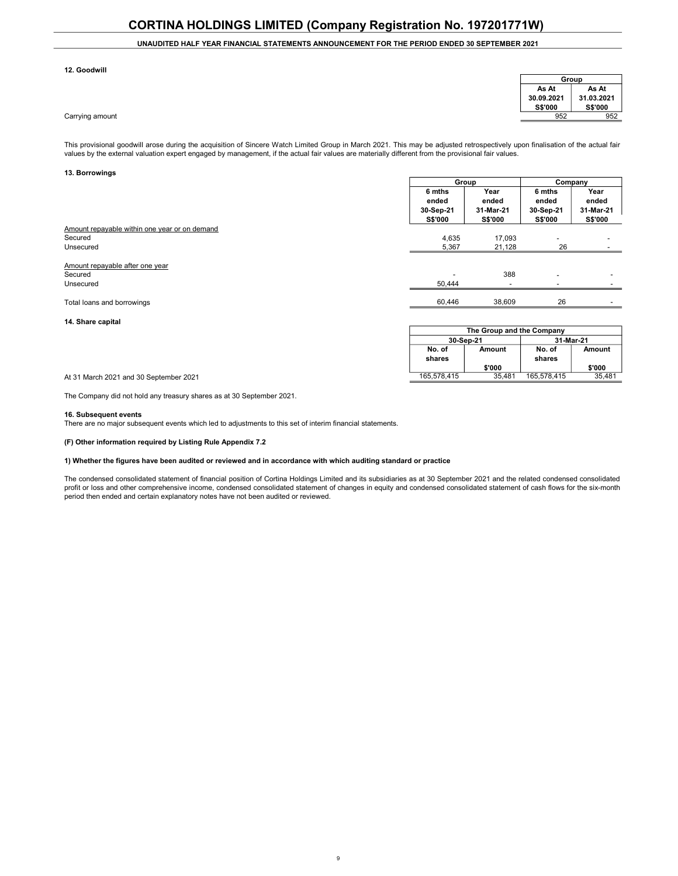### UNAUDITED HALF YEAR FINANCIAL STATEMENTS ANNOUNCEMENT FOR THE PERIOD ENDED 30 SEPTEMBER 2021

#### 12. Goodwill

|                 |                | Group          |
|-----------------|----------------|----------------|
|                 | As At          | As At          |
|                 | 30.09.2021     | 31.03.2021     |
|                 | <b>S\$'000</b> | <b>S\$'000</b> |
| Carrying amount |                | 952<br>952     |

This provisional goodwill arose during the acquisition of Sincere Watch Limited Group in March 2021. This may be adjusted retrospectively upon finalisation of the actual fair values by the external valuation expert engaged by management, if the actual fair values are materially different from the provisional fair values.

#### 13. Borrowings

|                                               | Group          |                | Company        |                |
|-----------------------------------------------|----------------|----------------|----------------|----------------|
|                                               | 6 mths         | Year           | 6 mths         | Year           |
|                                               | ended          | ended          | ended          | ended          |
|                                               | 30-Sep-21      | 31-Mar-21      | 30-Sep-21      | 31-Mar-21      |
|                                               | <b>S\$'000</b> | <b>S\$'000</b> | <b>S\$'000</b> | <b>S\$'000</b> |
| Amount repayable within one year or on demand |                |                |                |                |
| Secured                                       | 4,635          | 17,093         |                |                |
| Unsecured                                     | 5,367          | 21,128         | 26             |                |
| Amount repayable after one year               |                |                |                |                |
| Secured                                       |                | 388            |                |                |
| Unsecured                                     | 50,444         |                |                |                |
|                                               |                |                |                |                |
| Total loans and borrowings                    | 60,446         | 38,609         | 26             | -              |

14. Share capital

| The Group and the Company |           |                  |           |  |  |
|---------------------------|-----------|------------------|-----------|--|--|
|                           | 30-Sep-21 |                  | 31-Mar-21 |  |  |
| No. of<br>shares          | Amount    | No. of<br>shares | Amount    |  |  |
|                           | \$'000    |                  | \$'000    |  |  |
| 165.578.415               | 35.481    | 165.578.415      | 35.481    |  |  |

At 31 March 2021 and 30 September 2021

The Company did not hold any treasury shares as at 30 September 2021.

#### 16. Subsequent events

There are no major subsequent events which led to adjustments to this set of interim financial statements.

(F) Other information required by Listing Rule Appendix 7.2

#### 1) Whether the figures have been audited or reviewed and in accordance with which auditing standard or practice

The condensed consolidated statement of financial position of Cortina Holdings Limited and its subsidiaries as at 30 September 2021 and the related condensed consolidated profit or loss and other comprehensive income, condensed consolidated statement of changes in equity and condensed consolidated statement of cash flows for the six-month period then ended and certain explanatory notes have not been audited or reviewed.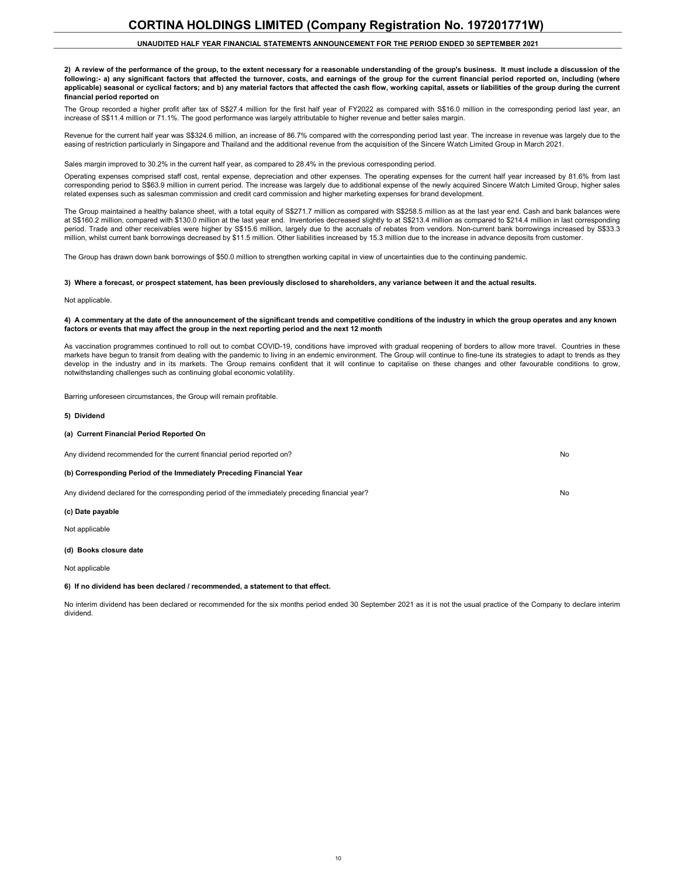2) A review of the performance of the group, to the extent necessary for a reasonable understanding of the group's business. It must include a discussion of the following:- a) any significant factors that affected the turnover, costs, and earnings of the group for the current financial period reported on, including (where applicable) seasonal or cyclical factors; and b) any material factors that affected the cash flow, working capital, assets or liabilities of the group during the current financial period reported on

The Group recorded a higher profit after tax of S\$27.4 million for the first half year of FY2022 as compared with S\$16.0 million in the corresponding period last year, an increase of S\$11.4 million or 71.1%. The good performance was largely attributable to higher revenue and better sales margin.

Revenue for the current half year was S\$324.6 million, an increase of 86.7% compared with the corresponding period last year. The increase in revenue was largely due to the easing of restriction particularly in Singapore and Thailand and the additional revenue from the acquisition of the Sincere Watch Limited Group in March 2021.

Sales margin improved to 30.2% in the current half year, as compared to 28.4% in the previous corresponding period.

Operating expenses comprised staff cost, rental expense, depreciation and other expenses. The operating expenses for the current half year increased by 81.6% from last corresponding period to S\$63.9 million in current period. The increase was largely due to additional expense of the newly acquired Sincere Watch Limited Group, higher sales related expenses such as salesman commission and credit card commission and higher marketing expenses for brand development.

The Group maintained a healthy balance sheet, with a total equity of S\$271.7 million as compared with S\$258.5 million as at the last year end. Cash and bank balances were at S\$160.2 million, compared with \$130.0 million at the last year end. Inventories decreased slightly to at S\$213.4 million as compared to \$214.4 million in last corresponding period. Trade and other receivables were higher by S\$15.6 million, largely due to the accruals of rebates from vendors. Non-current bank borrowings increased by S\$33.3 million, whilst current bank borrowings decreased by \$11.5 million. Other liabilities increased by 15.3 million due to the increase in advance deposits from customer.

The Group has drawn down bank borrowings of \$50.0 million to strengthen working capital in view of uncertainties due to the continuing pandemic.

#### 3) Where a forecast, or prospect statement, has been previously disclosed to shareholders, any variance between it and the actual results.

Not applicable.

#### 4) A commentary at the date of the announcement of the significant trends and competitive conditions of the industry in which the group operates and any known factors or events that may affect the group in the next reporting period and the next 12 month

As vaccination programmes continued to roll out to combat COVID-19, conditions have improved with gradual reopening of borders to allow more travel. Countries in these markets have begun to transit from dealing with the pandemic to living in an endemic environment. The Group will continue to fine-tune its strategies to adapt to trends as they develop in the industry and in its markets. The Group remains confident that it will continue to capitalise on these changes and other favourable conditions to grow, notwithstanding challenges such as continuing global economic volatility.

Barring unforeseen circumstances, the Group will remain profitable.

#### 5) Dividend

#### (a) Current Financial Period Reported On

Any dividend recommended for the current financial period reported on?<br>No (b) Corresponding Period of the Immediately Preceding Financial Year Any dividend declared for the corresponding period of the immediately preceding financial year? No

#### (c) Date payable

Not applicable

#### (d) Books closure date

Not applicable

#### 6) If no dividend has been declared / recommended, a statement to that effect.

No interim dividend has been declared or recommended for the six months period ended 30 September 2021 as it is not the usual practice of the Company to declare interim dividend.